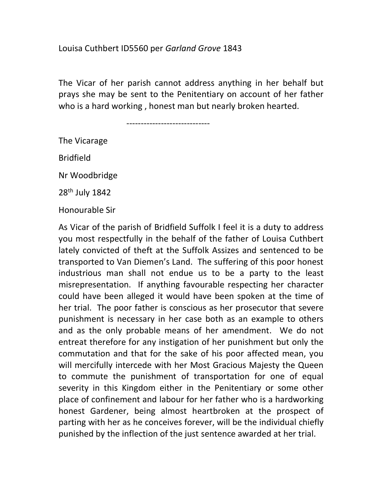## Louisa Cuthbert ID5560 per Garland Grove 1843

The Vicar of her parish cannot address anything in her behalf but prays she may be sent to the Penitentiary on account of her father who is a hard working , honest man but nearly broken hearted.

-----------------------------

The Vicarage Bridfield

Nr Woodbridge

28th July 1842

Honourable Sir

As Vicar of the parish of Bridfield Suffolk I feel it is a duty to address you most respectfully in the behalf of the father of Louisa Cuthbert lately convicted of theft at the Suffolk Assizes and sentenced to be transported to Van Diemen's Land. The suffering of this poor honest industrious man shall not endue us to be a party to the least misrepresentation. If anything favourable respecting her character could have been alleged it would have been spoken at the time of her trial. The poor father is conscious as her prosecutor that severe punishment is necessary in her case both as an example to others and as the only probable means of her amendment. We do not entreat therefore for any instigation of her punishment but only the commutation and that for the sake of his poor affected mean, you will mercifully intercede with her Most Gracious Majesty the Queen to commute the punishment of transportation for one of equal severity in this Kingdom either in the Penitentiary or some other place of confinement and labour for her father who is a hardworking honest Gardener, being almost heartbroken at the prospect of parting with her as he conceives forever, will be the individual chiefly punished by the inflection of the just sentence awarded at her trial.